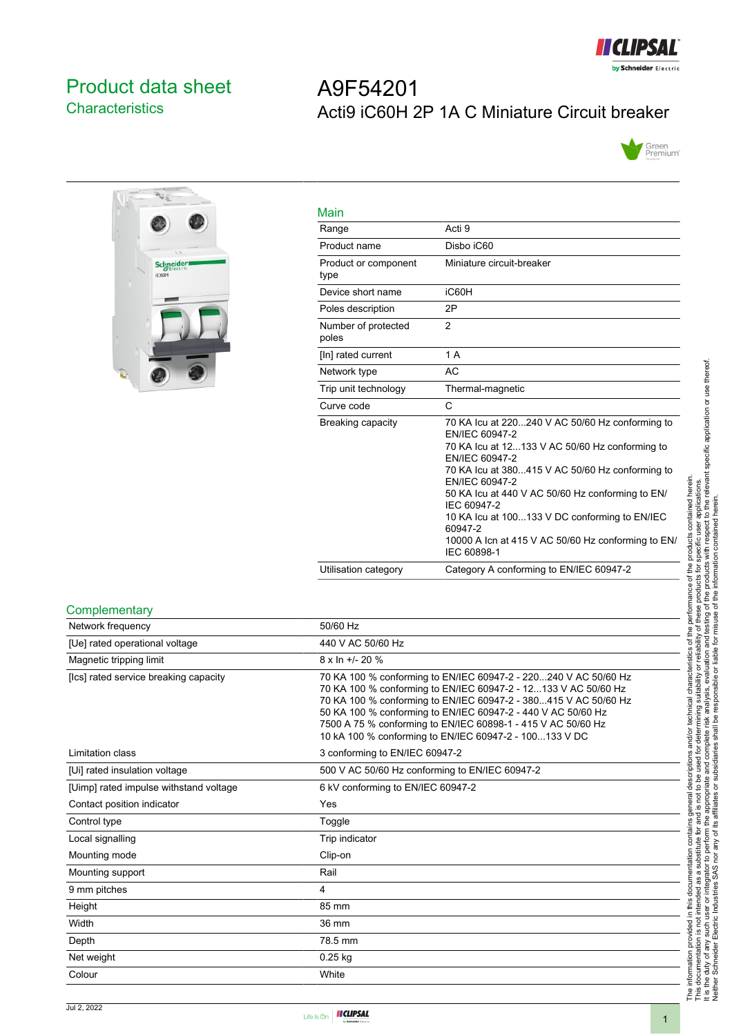

# <span id="page-0-0"></span>Product data sheet **Characteristics**

# A9F54201 Acti9 iC60H 2P 1A C Miniature Circuit breaker





| Main                         |                                                                                                                                                                                                                                                                                                                                                                                                                |
|------------------------------|----------------------------------------------------------------------------------------------------------------------------------------------------------------------------------------------------------------------------------------------------------------------------------------------------------------------------------------------------------------------------------------------------------------|
| Range                        | Acti 9                                                                                                                                                                                                                                                                                                                                                                                                         |
| Product name                 | Disho iC60                                                                                                                                                                                                                                                                                                                                                                                                     |
| Product or component<br>type | Miniature circuit-breaker                                                                                                                                                                                                                                                                                                                                                                                      |
| Device short name            | iC60H                                                                                                                                                                                                                                                                                                                                                                                                          |
| Poles description            | 2P                                                                                                                                                                                                                                                                                                                                                                                                             |
| Number of protected<br>poles | $\overline{2}$                                                                                                                                                                                                                                                                                                                                                                                                 |
| [In] rated current           | 1 A                                                                                                                                                                                                                                                                                                                                                                                                            |
| Network type                 | AC                                                                                                                                                                                                                                                                                                                                                                                                             |
| Trip unit technology         | Thermal-magnetic                                                                                                                                                                                                                                                                                                                                                                                               |
| Curve code                   | C                                                                                                                                                                                                                                                                                                                                                                                                              |
| Breaking capacity            | 70 KA lcu at 220240 V AC 50/60 Hz conforming to<br>EN/IEC 60947-2<br>70 KA Icu at 12133 V AC 50/60 Hz conforming to<br>EN/IEC 60947-2<br>70 KA Icu at 380415 V AC 50/60 Hz conforming to<br>EN/IEC 60947-2<br>50 KA Icu at 440 V AC 50/60 Hz conforming to EN/<br>IEC 60947-2<br>10 KA Icu at 100133 V DC conforming to EN/IEC<br>60947-2<br>10000 A Icn at 415 V AC 50/60 Hz conforming to EN/<br>IEC 60898-1 |
| Utilisation category         | Category A conforming to EN/IEC 60947-2                                                                                                                                                                                                                                                                                                                                                                        |

#### **Complementary**

| Network frequency                      | 50/60 Hz                                                                                                                                                                                                                                                                                                                                                                                       |
|----------------------------------------|------------------------------------------------------------------------------------------------------------------------------------------------------------------------------------------------------------------------------------------------------------------------------------------------------------------------------------------------------------------------------------------------|
| [Ue] rated operational voltage         | 440 V AC 50/60 Hz                                                                                                                                                                                                                                                                                                                                                                              |
| Magnetic tripping limit                | $8 \times \ln +1$ - 20 %                                                                                                                                                                                                                                                                                                                                                                       |
| [Ics] rated service breaking capacity  | 70 KA 100 % conforming to EN/IEC 60947-2 - 220240 V AC 50/60 Hz<br>70 KA 100 % conforming to EN/IEC 60947-2 - 12133 V AC 50/60 Hz<br>70 KA 100 % conforming to EN/IEC 60947-2 - 380415 V AC 50/60 Hz<br>50 KA 100 % conforming to EN/IEC 60947-2 - 440 V AC 50/60 Hz<br>7500 A 75 % conforming to EN/IEC 60898-1 - 415 V AC 50/60 Hz<br>10 kA 100 % conforming to EN/IEC 60947-2 - 100133 V DC |
| Limitation class                       | 3 conforming to EN/IEC 60947-2                                                                                                                                                                                                                                                                                                                                                                 |
| [Ui] rated insulation voltage          | 500 V AC 50/60 Hz conforming to EN/IEC 60947-2                                                                                                                                                                                                                                                                                                                                                 |
| [Uimp] rated impulse withstand voltage | 6 kV conforming to EN/IEC 60947-2                                                                                                                                                                                                                                                                                                                                                              |
| Contact position indicator             | Yes                                                                                                                                                                                                                                                                                                                                                                                            |
| Control type                           | Toggle                                                                                                                                                                                                                                                                                                                                                                                         |
| Local signalling                       | Trip indicator                                                                                                                                                                                                                                                                                                                                                                                 |
| Mounting mode                          | Clip-on                                                                                                                                                                                                                                                                                                                                                                                        |
| Mounting support                       | Rail                                                                                                                                                                                                                                                                                                                                                                                           |
| 9 mm pitches                           | $\overline{4}$                                                                                                                                                                                                                                                                                                                                                                                 |
| Height                                 | 85 mm                                                                                                                                                                                                                                                                                                                                                                                          |
| Width                                  | 36 mm                                                                                                                                                                                                                                                                                                                                                                                          |
| Depth                                  | 78.5 mm                                                                                                                                                                                                                                                                                                                                                                                        |
| Net weight                             | $0.25$ kg                                                                                                                                                                                                                                                                                                                                                                                      |
| Colour                                 | White                                                                                                                                                                                                                                                                                                                                                                                          |